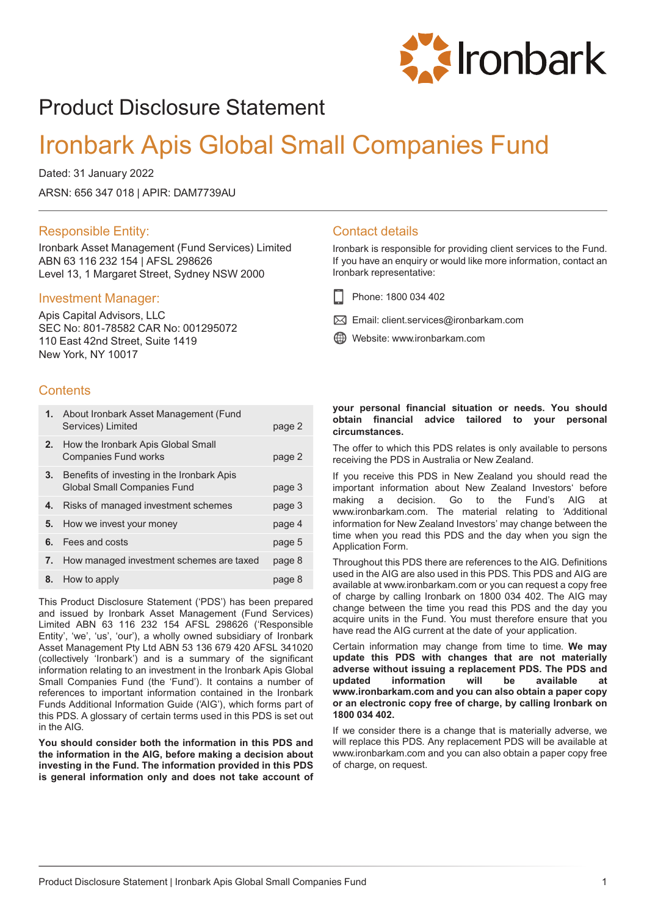

# Product Disclosure Statement

# Ironbark Apis Global Small Companies Fund

Dated: 31 January 2022 ARSN: 656 347 018 | APIR: DAM7739AU

### Responsible Entity:

Ironbark Asset Management (Fund Services) Limited ABN 63 116 232 154 | AFSL 298626 Level 13, 1 Margaret Street, Sydney NSW 2000

### Investment Manager:

Apis Capital Advisors, LLC SEC No: 801-78582 CAR No: 001295072 110 East 42nd Street, Suite 1419 New York, NY 10017

## **Contents**

|    | 1. About Ironbark Asset Management (Fund<br>Services) Limited                    | page 2 |
|----|----------------------------------------------------------------------------------|--------|
|    | <b>2.</b> How the Ironbark Apis Global Small<br><b>Companies Fund works</b>      | page 2 |
| 3. | Benefits of investing in the Ironbark Apis<br><b>Global Small Companies Fund</b> | page 3 |
| 4. | Risks of managed investment schemes                                              | page 3 |
| 5. | How we invest your money                                                         | page 4 |
| 6. | Fees and costs                                                                   | page 5 |
| 7. | How managed investment schemes are taxed                                         | page 8 |
| 8. | How to apply                                                                     | page 8 |

This Product Disclosure Statement ('PDS') has been prepared and issued by Ironbark Asset Management (Fund Services) Limited ABN 63 116 232 154 AFSL 298626 ('Responsible Entity', 'we', 'us', 'our'), a wholly owned subsidiary of Ironbark Asset Management Pty Ltd ABN 53 136 679 420 AFSL 341020 (collectively 'Ironbark') and is a summary of the significant information relating to an investment in the Ironbark Apis Global Small Companies Fund (the 'Fund'). It contains a number of references to important information contained in the Ironbark Funds Additional Information Guide ('AIG'), which forms part of this PDS. A glossary of certain terms used in this PDS is set out in the AIG.

**You should consider both the information in this PDS and the information in the AIG, before making a decision about investing in the Fund. The information provided in this PDS is general information only and does not take account of**

## Contact details

Ironbark is responsible for providing client services to the Fund. If you have an enquiry or would like more information, contact an Ironbark representative:

- Phone: 1800 034 402
- $\boxtimes$  Email: client.services@ironbarkam.com
- Website: www.ironbarkam.com

#### **your personal financial situation or needs. You should obtain financial advice tailored to your personal circumstances.**

The offer to which this PDS relates is only available to persons receiving the PDS in Australia or New Zealand.

If you receive this PDS in New Zealand you should read the important information about New Zealand Investors' before making a decision. Go to the Fund's AIG at www.ironbarkam.com. The material relating to 'Additional information for New Zealand Investors' may change between the time when you read this PDS and the day when you sign the Application Form.

Throughout this PDS there are references to the AIG. Definitions used in the AIG are also used in this PDS. This PDS and AIG are available at www.ironbarkam.com or you can request a copy free of charge by calling Ironbark on 1800 034 402. The AIG may change between the time you read this PDS and the day you acquire units in the Fund. You must therefore ensure that you have read the AIG current at the date of your application.

Certain information may change from time to time. **We may update this PDS with changes that are not materially adverse without issuing a replacement PDS. The PDS and updated information will be available at www.ironbarkam.com and you can also obtain a paper copy or an electronic copy free of charge, by calling Ironbark on 1800 034 402.**

If we consider there is a change that is materially adverse, we will replace this PDS. Any replacement PDS will be available at www.ironbarkam.com and you can also obtain a paper copy free of charge, on request.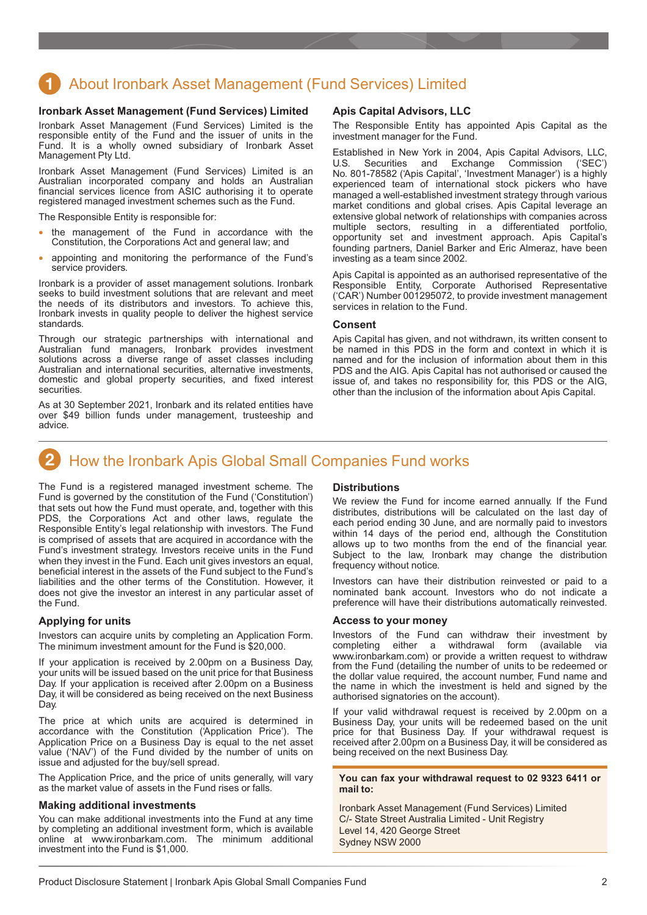# <span id="page-1-0"></span>About Ironbark Asset Management (Fund Services) Limited

#### **Ironbark Asset Management (Fund Services) Limited**

Ironbark Asset Management (Fund Services) Limited is the responsible entity of the Fund and the issuer of units in the Fund. It is a wholly owned subsidiary of Ironbark Asset Management Pty Ltd.

Ironbark Asset Management (Fund Services) Limited is an Australian incorporated company and holds an Australian financial services licence from ASIC authorising it to operate registered managed investment schemes such as the Fund.

The Responsible Entity is responsible for:

- the management of the Fund in accordance with the Constitution, the Corporations Act and general law; and
- appointing and monitoring the performance of the Fund's service providers.

Ironbark is a provider of asset management solutions. Ironbark seeks to build investment solutions that are relevant and meet the needs of its distributors and investors. To achieve this, Ironbark invests in quality people to deliver the highest service standards.

Through our strategic partnerships with international and Australian fund managers, Ironbark provides investment solutions across a diverse range of asset classes including Australian and international securities, alternative investments, domestic and global property securities, and fixed interest securities.

As at 30 September 2021, Ironbark and its related entities have over \$49 billion funds under management, trusteeship and advice.

#### **Apis Capital Advisors, LLC**

The Responsible Entity has appointed Apis Capital as the investment manager for the Fund.

Established in New York in 2004, Apis Capital Advisors, LLC, Securities and No. 801-78582 ('Apis Capital', 'Investment Manager') is a highly experienced team of international stock pickers who have managed a well-established investment strategy through various market conditions and global crises. Apis Capital leverage an extensive global network of relationships with companies across multiple sectors, resulting in a differentiated portfolio, opportunity set and investment approach. Apis Capital's founding partners, Daniel Barker and Eric Almeraz, have been investing as a team since 2002.

Apis Capital is appointed as an authorised representative of the Responsible Entity, Corporate Authorised Representative ('CAR') Number 001295072, to provide investment management services in relation to the Fund.

#### **Consent**

Apis Capital has given, and not withdrawn, its written consent to be named in this PDS in the form and context in which it is named and for the inclusion of information about them in this PDS and the AIG. Apis Capital has not authorised or caused the issue of, and takes no responsibility for, this PDS or the AIG, other than the inclusion of the information about Apis Capital.

# How the Ironbark Apis Global Small Companies Fund works

The Fund is a registered managed investment scheme. The Fund is governed by the constitution of the Fund ('Constitution') that sets out how the Fund must operate, and, together with this PDS, the Corporations Act and other laws, regulate the Responsible Entity's legal relationship with investors. The Fund is comprised of assets that are acquired in accordance with the Fund's investment strategy. Investors receive units in the Fund when they invest in the Fund. Each unit gives investors an equal, beneficial interest in the assets of the Fund subject to the Fund's liabilities and the other terms of the Constitution. However, it does not give the investor an interest in any particular asset of the Fund.

#### **Applying for units**

Investors can acquire units by completing an Application Form. The minimum investment amount for the Fund is \$20,000.

If your application is received by 2.00pm on a Business Day, your units will be issued based on the unit price for that Business Day. If your application is received after 2.00pm on a Business Day, it will be considered as being received on the next Business Day.

The price at which units are acquired is determined in accordance with the Constitution ('Application Price'). The Application Price on a Business Day is equal to the net asset value ('NAV') of the Fund divided by the number of units on issue and adjusted for the buy/sell spread.

The Application Price, and the price of units generally, will vary as the market value of assets in the Fund rises or falls.

#### **Making additional investments**

You can make additional investments into the Fund at any time by completing an additional investment form, which is available online at www.ironbarkam.com. The minimum additional investment into the Fund is \$1,000.

#### **Distributions**

We review the Fund for income earned annually. If the Fund distributes, distributions will be calculated on the last day of each period ending 30 June, and are normally paid to investors within 14 days of the period end, although the Constitution allows up to two months from the end of the financial year. Subject to the law, Ironbark may change the distribution frequency without notice.

Investors can have their distribution reinvested or paid to a nominated bank account. Investors who do not indicate a preference will have their distributions automatically reinvested.

#### **Access to your money**

Investors of the Fund can withdraw their investment by completing either a withdrawal form (available via www.ironbarkam.com) or provide a written request to withdraw from the Fund (detailing the number of units to be redeemed or the dollar value required, the account number, Fund name and the name in which the investment is held and signed by the authorised signatories on the account).

If your valid withdrawal request is received by 2.00pm on a Business Day, your units will be redeemed based on the unit price for that Business Day. If your withdrawal request is received after 2.00pm on a Business Day, it will be considered as being received on the next Business Day.

#### **You can fax your withdrawal request to 02 9323 6411 or mail to:**

Ironbark Asset Management (Fund Services) Limited C/- State Street Australia Limited - Unit Registry Level 14, 420 George Street Sydney NSW 2000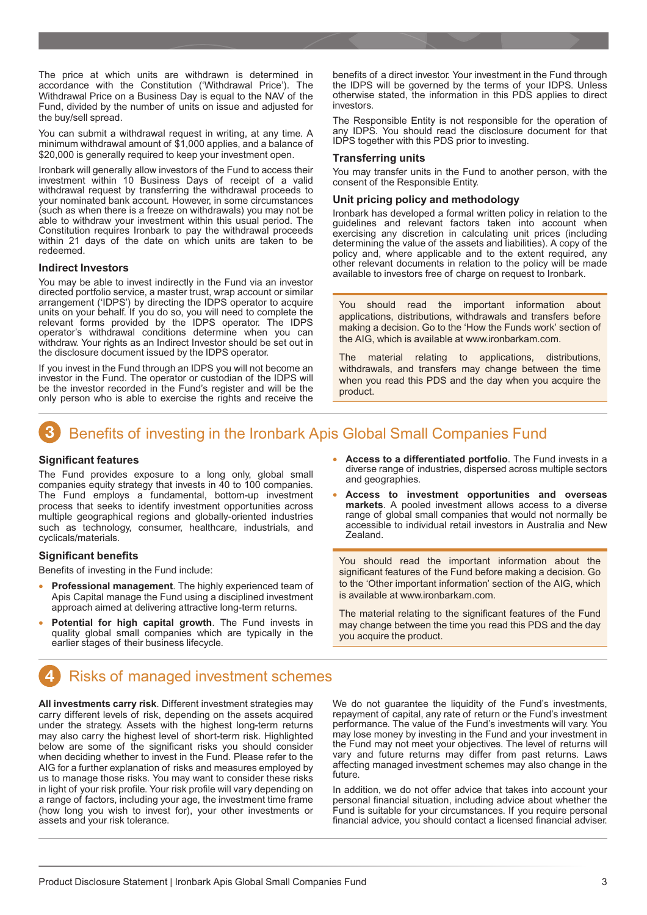<span id="page-2-0"></span>The price at which units are withdrawn is determined in accordance with the Constitution ('Withdrawal Price'). The Withdrawal Price on a Business Day is equal to the NAV of the Fund, divided by the number of units on issue and adjusted for the buy/sell spread.

You can submit a withdrawal request in writing, at any time. A minimum withdrawal amount of \$1,000 applies, and a balance of \$20,000 is generally required to keep your investment open.

Ironbark will generally allow investors of the Fund to access their investment within 10 Business Days of receipt of a valid withdrawal request by transferring the withdrawal proceeds to your nominated bank account. However, in some circumstances (such as when there is a freeze on withdrawals) you may not be able to withdraw your investment within this usual period. The Constitution requires Ironbark to pay the withdrawal proceeds within 21 days of the date on which units are taken to be redeemed.

#### **Indirect Investors**

You may be able to invest indirectly in the Fund via an investor directed portfolio service, a master trust, wrap account or similar arrangement ('IDPS') by directing the IDPS operator to acquire units on your behalf. If you do so, you will need to complete the relevant forms provided by the IDPS operator. The IDPS operator's withdrawal conditions determine when you can withdraw. Your rights as an Indirect Investor should be set out in the disclosure document issued by the IDPS operator.

If you invest in the Fund through an IDPS you will not become an investor in the Fund. The operator or custodian of the IDPS will be the investor recorded in the Fund's register and will be the only person who is able to exercise the rights and receive the

benefits of a direct investor. Your investment in the Fund through the IDPS will be governed by the terms of your IDPS. Unless otherwise stated, the information in this PDS applies to direct investors.

The Responsible Entity is not responsible for the operation of any IDPS. You should read the disclosure document for that IDPS together with this PDS prior to investing.

#### **Transferring units**

You may transfer units in the Fund to another person, with the consent of the Responsible Entity.

#### **Unit pricing policy and methodology**

Ironbark has developed a formal written policy in relation to the guidelines and relevant factors taken into account when exercising any discretion in calculating unit prices (including determining the value of the assets and liabilities). A copy of the policy and, where applicable and to the extent required, any other relevant documents in relation to the policy will be made available to investors free of charge on request to Ironbark.

You should read the important information about applications, distributions, withdrawals and transfers before making a decision. Go to the 'How the Funds work' section of the AIG, which is available at www.ironbarkam.com.

The material relating to applications, distributions, withdrawals, and transfers may change between the time when you read this PDS and the day when you acquire the product.

# Benefits of investing in the Ironbark Apis Global Small Companies Fund

#### **Significant features**

The Fund provides exposure to a long only, global small companies equity strategy that invests in 40 to 100 companies. The Fund employs a fundamental, bottom-up investment process that seeks to identify investment opportunities across multiple geographical regions and globally-oriented industries such as technology, consumer, healthcare, industrials, and cyclicals/materials.

#### **Significant benefits**

Benefits of investing in the Fund include:

- **Professional management**. The highly experienced team of Apis Capital manage the Fund using a disciplined investment approach aimed at delivering attractive long-term returns.
- **Potential for high capital growth**. The Fund invests in quality global small companies which are typically in the earlier stages of their business lifecycle.
- **Access to a differentiated portfolio**. The Fund invests in a diverse range of industries, dispersed across multiple sectors and geographies.
- **Access to investment opportunities and overseas markets**. A pooled investment allows access to a diverse range of global small companies that would not normally be accessible to individual retail investors in Australia and New Zealand.

You should read the important information about the significant features of the Fund before making a decision. Go to the 'Other important information' section of the AIG, which is available at www.ironbarkam.com.

The material relating to the significant features of the Fund may change between the time you read this PDS and the day you acquire the product.

# Risks of managed investment schemes

**All investments carry risk**. Different investment strategies may carry different levels of risk, depending on the assets acquired under the strategy. Assets with the highest long-term returns may also carry the highest level of short-term risk. Highlighted below are some of the significant risks you should consider when deciding whether to invest in the Fund. Please refer to the AIG for a further explanation of risks and measures employed by us to manage those risks. You may want to consider these risks in light of your risk profile. Your risk profile will vary depending on a range of factors, including your age, the investment time frame (how long you wish to invest for), your other investments or assets and your risk tolerance.

We do not guarantee the liquidity of the Fund's investments, repayment of capital, any rate of return or the Fund's investment performance. The value of the Fund's investments will vary. You may lose money by investing in the Fund and your investment in the Fund may not meet your objectives. The level of returns will vary and future returns may differ from past returns. Laws affecting managed investment schemes may also change in the future.

In addition, we do not offer advice that takes into account your personal financial situation, including advice about whether the Fund is suitable for your circumstances. If you require personal financial advice, you should contact a licensed financial adviser.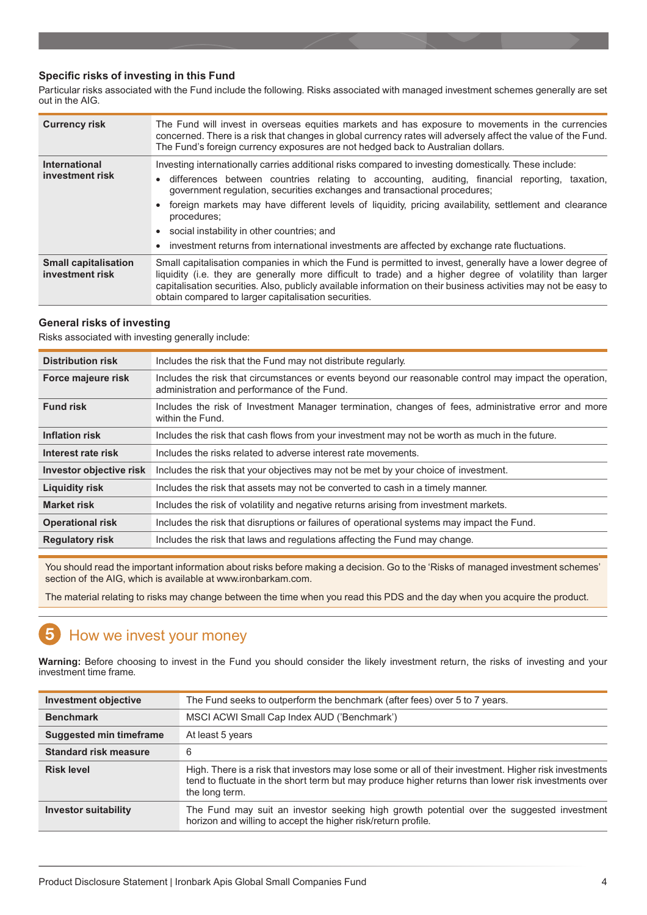#### <span id="page-3-0"></span>**Specific risks of investing in this Fund**

Particular risks associated with the Fund include the following. Risks associated with managed investment schemes generally are set out in the AIG.

| <b>Currency risk</b>                           | The Fund will invest in overseas equities markets and has exposure to movements in the currencies<br>concerned. There is a risk that changes in global currency rates will adversely affect the value of the Fund.<br>The Fund's foreign currency exposures are not hedged back to Australian dollars.                                                                                                                                                                                                                                                                                                           |  |
|------------------------------------------------|------------------------------------------------------------------------------------------------------------------------------------------------------------------------------------------------------------------------------------------------------------------------------------------------------------------------------------------------------------------------------------------------------------------------------------------------------------------------------------------------------------------------------------------------------------------------------------------------------------------|--|
| <b>International</b><br>investment risk        | Investing internationally carries additional risks compared to investing domestically. These include:<br>differences between countries relating to accounting, auditing, financial reporting, taxation,<br>$\bullet$<br>government regulation, securities exchanges and transactional procedures;<br>foreign markets may have different levels of liquidity, pricing availability, settlement and clearance<br>$\bullet$<br>procedures;<br>social instability in other countries; and<br>$\bullet$<br>investment returns from international investments are affected by exchange rate fluctuations.<br>$\bullet$ |  |
| <b>Small capitalisation</b><br>investment risk | Small capitalisation companies in which the Fund is permitted to invest, generally have a lower degree of<br>liquidity (i.e. they are generally more difficult to trade) and a higher degree of volatility than larger<br>capitalisation securities. Also, publicly available information on their business activities may not be easy to<br>obtain compared to larger capitalisation securities.                                                                                                                                                                                                                |  |

#### **General risks of investing**

Risks associated with investing generally include:

| <b>Distribution risk</b> | Includes the risk that the Fund may not distribute regularly.                                                                                         |
|--------------------------|-------------------------------------------------------------------------------------------------------------------------------------------------------|
| Force majeure risk       | Includes the risk that circumstances or events beyond our reasonable control may impact the operation,<br>administration and performance of the Fund. |
| <b>Fund risk</b>         | Includes the risk of Investment Manager termination, changes of fees, administrative error and more<br>within the Fund.                               |
| <b>Inflation risk</b>    | Includes the risk that cash flows from your investment may not be worth as much in the future.                                                        |
| Interest rate risk       | Includes the risks related to adverse interest rate movements.                                                                                        |
| Investor objective risk  | Includes the risk that your objectives may not be met by your choice of investment.                                                                   |
| <b>Liquidity risk</b>    | Includes the risk that assets may not be converted to cash in a timely manner.                                                                        |
| <b>Market risk</b>       | Includes the risk of volatility and negative returns arising from investment markets.                                                                 |
| <b>Operational risk</b>  | Includes the risk that disruptions or failures of operational systems may impact the Fund.                                                            |
| <b>Regulatory risk</b>   | Includes the risk that laws and regulations affecting the Fund may change.                                                                            |

You should read the important information about risks before making a decision. Go to the 'Risks of managed investment schemes' section of the AIG, which is available at www.ironbarkam.com.

The material relating to risks may change between the time when you read this PDS and the day when you acquire the product.

#### 5 How we invest your money

**Warning:** Before choosing to invest in the Fund you should consider the likely investment return, the risks of investing and your investment time frame.

| <b>Investment objective</b>    | The Fund seeks to outperform the benchmark (after fees) over 5 to 7 years.                                                                                                                                                      |
|--------------------------------|---------------------------------------------------------------------------------------------------------------------------------------------------------------------------------------------------------------------------------|
| <b>Benchmark</b>               | MSCI ACWI Small Cap Index AUD ('Benchmark')                                                                                                                                                                                     |
| <b>Suggested min timeframe</b> | At least 5 years                                                                                                                                                                                                                |
| <b>Standard risk measure</b>   | 6                                                                                                                                                                                                                               |
| <b>Risk level</b>              | High. There is a risk that investors may lose some or all of their investment. Higher risk investments<br>tend to fluctuate in the short term but may produce higher returns than lower risk investments over<br>the long term. |
| <b>Investor suitability</b>    | The Fund may suit an investor seeking high growth potential over the suggested investment<br>horizon and willing to accept the higher risk/return profile.                                                                      |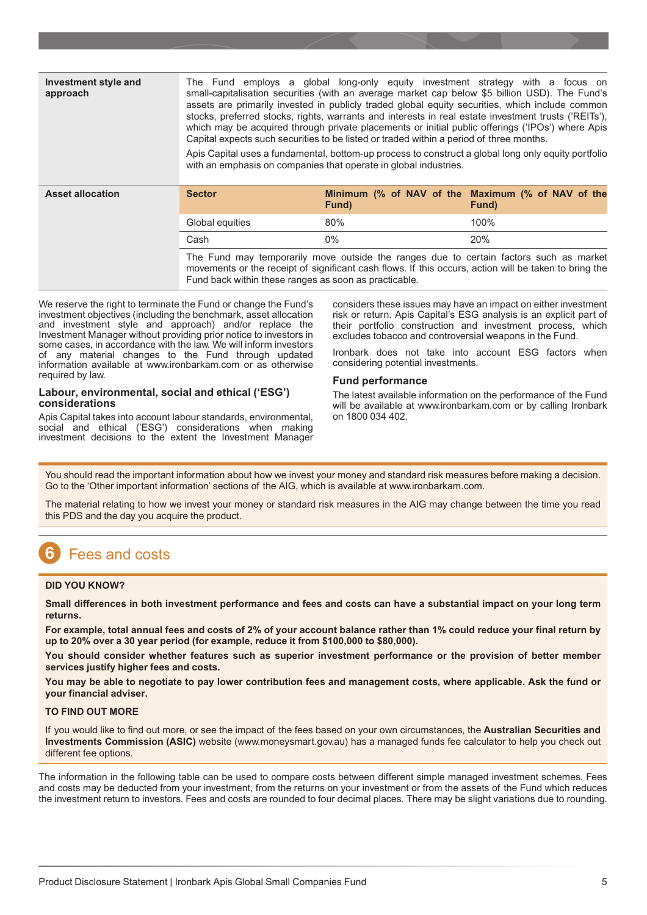<span id="page-4-0"></span>

| <b>Investment style and</b><br>approach | The Fund employs a global long-only equity investment strategy with a focus on<br>small-capitalisation securities (with an average market cap below \$5 billion USD). The Fund's<br>assets are primarily invested in publicly traded global equity securities, which include common<br>stocks, preferred stocks, rights, warrants and interests in real estate investment trusts ('REITs'),<br>which may be acquired through private placements or initial public offerings ('IPOs') where Apis<br>Capital expects such securities to be listed or traded within a period of three months.<br>Apis Capital uses a fundamental, bottom-up process to construct a global long only equity portfolio<br>with an emphasis on companies that operate in global industries. |       |                                                            |
|-----------------------------------------|-----------------------------------------------------------------------------------------------------------------------------------------------------------------------------------------------------------------------------------------------------------------------------------------------------------------------------------------------------------------------------------------------------------------------------------------------------------------------------------------------------------------------------------------------------------------------------------------------------------------------------------------------------------------------------------------------------------------------------------------------------------------------|-------|------------------------------------------------------------|
|                                         |                                                                                                                                                                                                                                                                                                                                                                                                                                                                                                                                                                                                                                                                                                                                                                       |       |                                                            |
| <b>Asset allocation</b>                 | <b>Sector</b>                                                                                                                                                                                                                                                                                                                                                                                                                                                                                                                                                                                                                                                                                                                                                         | Fund) | Minimum (% of NAV of the Maximum (% of NAV of the<br>Fund) |
|                                         | Global equities                                                                                                                                                                                                                                                                                                                                                                                                                                                                                                                                                                                                                                                                                                                                                       | 80%   | 100%                                                       |
|                                         | Cash                                                                                                                                                                                                                                                                                                                                                                                                                                                                                                                                                                                                                                                                                                                                                                  | $0\%$ | 20%                                                        |

We reserve the right to terminate the Fund or change the Fund's investment objectives (including the benchmark, asset allocation and investment style and approach) and/or replace the Investment Manager without providing prior notice to investors in some cases, in accordance with the law. We will inform investors of any material changes to the Fund through updated information available at www.ironbarkam.com or as otherwise required by law.

#### **Labour, environmental, social and ethical ('ESG') considerations**

Apis Capital takes into account labour standards, environmental, social and ethical ('ESG') considerations when making investment decisions to the extent the Investment Manager

considers these issues may have an impact on either investment risk or return. Apis Capital's ESG analysis is an explicit part of their portfolio construction and investment process, which excludes tobacco and controversial weapons in the Fund.

Ironbark does not take into account ESG factors when considering potential investments.

#### **Fund performance**

The latest available information on the performance of the Fund will be available at www.ironbarkam.com or by calling Ironbark on 1800 034 402.

You should read the important information about how we invest your money and standard risk measures before making a decision. Go to the 'Other important information' sections of the AIG, which is available at www.ironbarkam.com.

The material relating to how we invest your money or standard risk measures in the AIG may change between the time you read this PDS and the day you acquire the product.

#### 6 Fees and costs

#### **DID YOU KNOW?**

**Small differences in both investment performance and fees and costs can have a substantial impact on your long term returns.**

**For example, total annual fees and costs of 2% of your account balance rather than 1% could reduce your final return by up to 20% over a 30 year period (for example, reduce it from \$100,000 to \$80,000).**

**You should consider whether features such as superior investment performance or the provision of better member services justify higher fees and costs.**

**You may be able to negotiate to pay lower contribution fees and management costs, where applicable. Ask the fund or your financial adviser.**

#### **TO FIND OUT MORE**

If you would like to find out more, or see the impact of the fees based on your own circumstances, the **Australian Securities and Investments Commission (ASIC)** website (www.moneysmart.gov.au) has a managed funds fee calculator to help you check out different fee options.

The information in the following table can be used to compare costs between different simple managed investment schemes. Fees and costs may be deducted from your investment, from the returns on your investment or from the assets of the Fund which reduces the investment return to investors. Fees and costs are rounded to four decimal places. There may be slight variations due to rounding.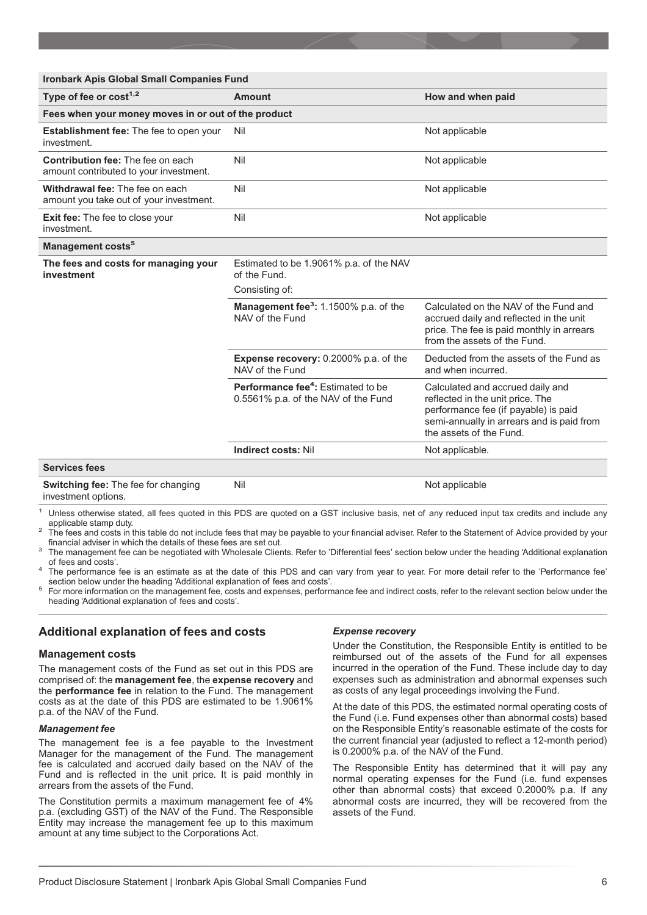| <b>Ironbark Apis Global Small Companies Fund</b>                                   |                                                                                            |                                                                                                                                                                                      |  |  |
|------------------------------------------------------------------------------------|--------------------------------------------------------------------------------------------|--------------------------------------------------------------------------------------------------------------------------------------------------------------------------------------|--|--|
| Type of fee or cost <sup>1,2</sup>                                                 | Amount                                                                                     | How and when paid                                                                                                                                                                    |  |  |
| Fees when your money moves in or out of the product                                |                                                                                            |                                                                                                                                                                                      |  |  |
| Establishment fee: The fee to open your<br>investment.                             | Nil                                                                                        | Not applicable                                                                                                                                                                       |  |  |
| <b>Contribution fee: The fee on each</b><br>amount contributed to your investment. | Nil                                                                                        | Not applicable                                                                                                                                                                       |  |  |
| Withdrawal fee: The fee on each<br>amount you take out of your investment.         | Nil                                                                                        | Not applicable                                                                                                                                                                       |  |  |
| <b>Exit fee:</b> The fee to close your<br>investment.                              | Nil                                                                                        | Not applicable                                                                                                                                                                       |  |  |
| Management costs <sup>5</sup>                                                      |                                                                                            |                                                                                                                                                                                      |  |  |
| The fees and costs for managing your<br>investment                                 | Estimated to be 1.9061% p.a. of the NAV<br>of the Fund.                                    |                                                                                                                                                                                      |  |  |
|                                                                                    | Consisting of:                                                                             |                                                                                                                                                                                      |  |  |
|                                                                                    | Management fee <sup>3</sup> : 1.1500% p.a. of the<br>NAV of the Fund                       | Calculated on the NAV of the Fund and<br>accrued daily and reflected in the unit<br>price. The fee is paid monthly in arrears<br>from the assets of the Fund.                        |  |  |
|                                                                                    | <b>Expense recovery: 0.2000% p.a. of the</b><br>NAV of the Fund                            | Deducted from the assets of the Fund as<br>and when incurred.                                                                                                                        |  |  |
|                                                                                    | <b>Performance fee<sup>4</sup>:</b> Estimated to be<br>0.5561% p.a. of the NAV of the Fund | Calculated and accrued daily and<br>reflected in the unit price. The<br>performance fee (if payable) is paid<br>semi-annually in arrears and is paid from<br>the assets of the Fund. |  |  |
|                                                                                    | <b>Indirect costs: Nil</b>                                                                 | Not applicable.                                                                                                                                                                      |  |  |
| <b>Services fees</b>                                                               |                                                                                            |                                                                                                                                                                                      |  |  |
| <b>Switching fee: The fee for changing</b><br>investment options.                  | Nil                                                                                        | Not applicable                                                                                                                                                                       |  |  |

<sup>1</sup> Unless otherwise stated, all fees quoted in this PDS are quoted on a GST inclusive basis, net of any reduced input tax credits and include any

applicable stamp duty.<br>
<sup>2</sup> The fees and costs in this table do not include fees that may be payable to your financial adviser. Refer to the Statement of Advice provided by your<br>
financial adviser in which the details of t

<sup>3</sup> The management fee can be negotiated with Wholesale Clients. Refer to 'Differential fees' section below under the heading 'Additional explanation

of fees and costs'.<br><sup>4</sup> The performance fee is an estimate as at the date of this PDS and can vary from year to year. For more detail refer to the 'Performance fee'<br>section below under the heading 'Additional explanation o

For more information on the management fee, costs and expenses, performance fee and indirect costs, refer to the relevant section below under the heading 'Additional explanation of fees and costs'.

## **Additional explanation of fees and costs**

#### **Management costs**

The management costs of the Fund as set out in this PDS are comprised of: the **management fee**, the **expense recovery** and the **performance fee** in relation to the Fund. The management costs as at the date of this PDS are estimated to be 1.9061% p.a. of the NAV of the Fund.

#### *Management fee*

The management fee is a fee payable to the Investment Manager for the management of the Fund. The management fee is calculated and accrued daily based on the NAV of the Fund and is reflected in the unit price. It is paid monthly in arrears from the assets of the Fund.

The Constitution permits a maximum management fee of 4% p.a. (excluding GST) of the NAV of the Fund. The Responsible Entity may increase the management fee up to this maximum amount at any time subject to the Corporations Act.

#### *Expense recovery*

Under the Constitution, the Responsible Entity is entitled to be reimbursed out of the assets of the Fund for all expenses incurred in the operation of the Fund. These include day to day expenses such as administration and abnormal expenses such as costs of any legal proceedings involving the Fund.

At the date of this PDS, the estimated normal operating costs of the Fund (i.e. Fund expenses other than abnormal costs) based on the Responsible Entity's reasonable estimate of the costs for the current financial year (adjusted to reflect a 12-month period) is 0.2000% p.a. of the NAV of the Fund.

The Responsible Entity has determined that it will pay any normal operating expenses for the Fund (i.e. fund expenses other than abnormal costs) that exceed 0.2000% p.a. If any abnormal costs are incurred, they will be recovered from the assets of the Fund.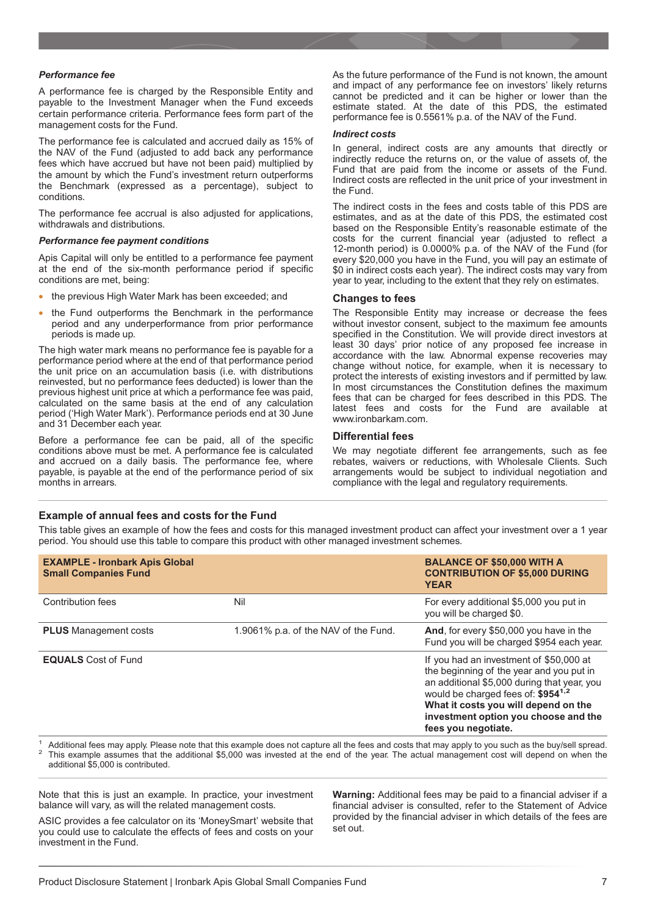#### *Performance fee*

A performance fee is charged by the Responsible Entity and payable to the Investment Manager when the Fund exceeds certain performance criteria. Performance fees form part of the management costs for the Fund.

The performance fee is calculated and accrued daily as 15% of the NAV of the Fund (adjusted to add back any performance fees which have accrued but have not been paid) multiplied by the amount by which the Fund's investment return outperforms the Benchmark (expressed as a percentage), subject to conditions.

The performance fee accrual is also adjusted for applications, withdrawals and distributions.

#### *Performance fee payment conditions*

Apis Capital will only be entitled to a performance fee payment at the end of the six-month performance period if specific conditions are met, being:

- the previous High Water Mark has been exceeded; and
- the Fund outperforms the Benchmark in the performance period and any underperformance from prior performance periods is made up.

The high water mark means no performance fee is payable for a performance period where at the end of that performance period the unit price on an accumulation basis (i.e. with distributions reinvested, but no performance fees deducted) is lower than the previous highest unit price at which a performance fee was paid, calculated on the same basis at the end of any calculation period ('High Water Mark'). Performance periods end at 30 June and 31 December each year.

Before a performance fee can be paid, all of the specific conditions above must be met. A performance fee is calculated and accrued on a daily basis. The performance fee, where payable, is payable at the end of the performance period of six months in arrears.

As the future performance of the Fund is not known, the amount and impact of any performance fee on investors' likely returns cannot be predicted and it can be higher or lower than the estimate stated. At the date of this PDS, the estimated performance fee is 0.5561% p.a. of the NAV of the Fund.

#### *Indirect costs*

In general, indirect costs are any amounts that directly or indirectly reduce the returns on, or the value of assets of, the Fund that are paid from the income or assets of the Fund. Indirect costs are reflected in the unit price of your investment in the Fund.

The indirect costs in the fees and costs table of this PDS are estimates, and as at the date of this PDS, the estimated cost based on the Responsible Entity's reasonable estimate of the costs for the current financial year (adjusted to reflect a 12-month period) is 0.0000% p.a. of the NAV of the Fund (for every \$20,000 you have in the Fund, you will pay an estimate of \$0 in indirect costs each year). The indirect costs may vary from year to year, including to the extent that they rely on estimates.

#### **Changes to fees**

The Responsible Entity may increase or decrease the fees without investor consent, subject to the maximum fee amounts specified in the Constitution. We will provide direct investors at least 30 days' prior notice of any proposed fee increase in accordance with the law. Abnormal expense recoveries may change without notice, for example, when it is necessary to protect the interests of existing investors and if permitted by law. In most circumstances the Constitution defines the maximum fees that can be charged for fees described in this PDS. The latest fees and costs for the Fund are available at www.ironbarkam.com.

#### **Differential fees**

We may negotiate different fee arrangements, such as fee rebates, waivers or reductions, with Wholesale Clients. Such arrangements would be subject to individual negotiation and compliance with the legal and regulatory requirements.

#### **Example of annual fees and costs for the Fund**

This table gives an example of how the fees and costs for this managed investment product can affect your investment over a 1 year period. You should use this table to compare this product with other managed investment schemes.

| <b>EXAMPLE - Ironbark Apis Global</b><br><b>Small Companies Fund</b> |                                      | <b>BALANCE OF \$50,000 WITH A</b><br><b>CONTRIBUTION OF \$5,000 DURING</b><br><b>YEAR</b>                                                                                                                                                                                                   |
|----------------------------------------------------------------------|--------------------------------------|---------------------------------------------------------------------------------------------------------------------------------------------------------------------------------------------------------------------------------------------------------------------------------------------|
| Contribution fees                                                    | Nil                                  | For every additional \$5,000 you put in<br>you will be charged \$0.                                                                                                                                                                                                                         |
| <b>PLUS</b> Management costs                                         | 1.9061% p.a. of the NAV of the Fund. | And, for every \$50,000 you have in the<br>Fund you will be charged \$954 each year.                                                                                                                                                                                                        |
| <b>EQUALS</b> Cost of Fund                                           |                                      | If you had an investment of \$50,000 at<br>the beginning of the year and you put in<br>an additional \$5,000 during that year, you<br>would be charged fees of: \$954 <sup>1,2</sup><br>What it costs you will depend on the<br>investment option you choose and the<br>fees you negotiate. |

Additional fees may apply. Please note that this example does not capture all the fees and costs that may apply to you such as the buy/sell spread.<br>This example assumes that the additional \$5,000 was invested at the end of additional \$5,000 is contributed.

Note that this is just an example. In practice, your investment balance will vary, as will the related management costs.

ASIC provides a fee calculator on its 'MoneySmart' website that you could use to calculate the effects of fees and costs on your investment in the Fund.

**Warning:** Additional fees may be paid to a financial adviser if a financial adviser is consulted, refer to the Statement of Advice provided by the financial adviser in which details of the fees are set out.